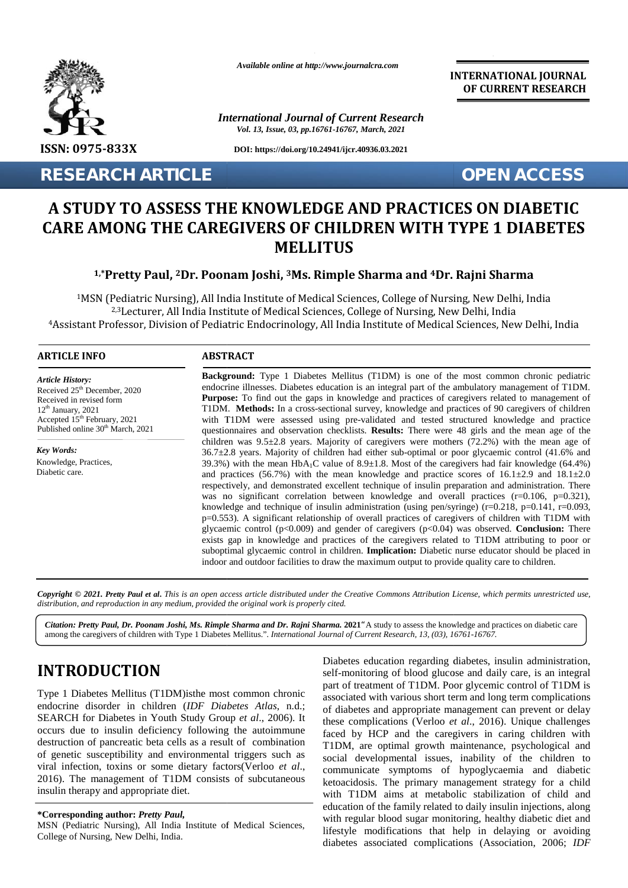

*Available online at http://www.journalcra.com*

*International Journal of Current Research Vol. 13, Issue, 03, pp.16761-16767, March, 2021*

**DOI: https://doi.org/10.24941/ijcr.40936.03.2021**

**RESEARCH ARTICLE OPEN ACCESS**

**INTERNATIONAL JOURNAL OF CURRENT RESEARCH**

# **A STUDY TO ASSESS THE KNOWLEDGE AND PRACTICES ON DIABETIC KNOWLEDGE AND PRACTICES ON CARE AMONG THE CAREGIVERS OF CHILDREN WITH TYPE 1 DIABETES MELLITUS**

# **1,\*Pretty Paul, <sup>2</sup>Dr. Poonam Joshi, <sup>3</sup>Ms. Rimple Sharma and <sup>4</sup>Dr. Rajni Sharma Pretty Paul,2Rimple Sharma Dr.**

<sup>1</sup>MSN (Pediatric Nursing), All India Institute of Medical Sciences, College of Nursing, New Delhi, India Pediatric Nursing), All India Institute of Medical Sciences, College of Nursing, New Delhi, India<br><sup>2,3</sup>Lecturer, All India Institute of Medical Sciences, College of Nursing, New Delhi, India <sup>4</sup>Assistant Professor, Division of Pediatric Endocrinology, All India Institute of Medical Sciences, New Delhi, India of

## **ARTICLE INFO ABSTRACT ARTICLE ABSTRACT**

*Article History: Article History:*  $\text{Received } 25^{\text{th}}$  December, 2020 Received in revised form Received in revised form  $12<sup>th</sup>$  January, 2021 Accepted  $15<sup>th</sup>$  February, 2021 w Published online  $30<sup>th</sup>$  March, 2021 12 th January, 2021 Received in revised form<br>  $12^{\text{th}}$  January, 2021<br>
Accepted  $15^{\text{th}}$  February, 2021

*Key Words: Key Words:* Knowledge, Practices, Diabetic care.

**Background:** Type 1 Diabetes Mellitus (T1DM) is one of the most common chronic pediatric **Background:** Type 1 Diabetes Mellitus (T1DM) is one of the most common chronic pediatric endocrine illnesses. Diabetes education is an integral part of the ambulatory management of T1DM. **Purpose:** To find out the gaps in knowledge and practices of caregivers related to management of T1DM. **Methods:** In a cross-sectional survey, knowledge and practices of 90 caregivers of children with T1DM were assessed using pre-validated and tested structured knowledge and practice questionnaires and observation checklists. **Results:** There were 48 girls and the mean age of the children was  $9.5\pm2.8$  years. Majority of caregivers were mothers (72.2%) with the mean age of 36.7±2.8 years. Majority of children had either sub-optimal or poor glycaemic control (41.6% and 39.3%) with the mean HbA<sub>1</sub>C value of 8.9 $\pm$ 1.8. Most of the caregivers had fair knowledge (64.4%) and practices (56.7%) with the mean knowledge and practice scores of  $16.1 \pm 2.9$  and  $18.1 \pm 2.0$ respectively, and demonstrated excellent technique of insulin preparation and administration. There was no significant correlation between knowledge and overall practices  $(r=0.106, p=0.321)$ , knowledge and technique of insulin administration (using pen/syringe) (r=0.218, p=0.141, r=0.093, p=0.553). A significant relationship of overall practices of caregivers of children with T1DM with glycaemic control (p<0.009) and gender of caregivers (p<0.04) was observed. **Conclusion:** There exists gap in knowledge and practices of the caregivers related to T1DM attributing to poor or suboptimal glycaemic control in children. **Implication:** Diabetic nurse educator should be placed in indoor and outdoor facilities to draw the maximum output to provide quality care to children. **Purpose:** To find out the gaps in knowledge and practices of caregivers related to management of<br>TIDM. **Methods:** In a cross-sectional survey, knowledge and practices of 90 caregivers of children<br>with TIDM were assessed ex. 20.23 FinDM. The mean line of the electronic interval and practice of the electronic state of the electronic state of the management of the management of the management of the management of the management of the manag Debulking,Neoadjuvant,**ACCESS**Extertivel 25<sup>8</sup> December, 2020<br>
endocrine illustsess. Diabetes education is an integral part of the ambulatory<br>
amount Purpose: To find out the gaps in knowledge and practices of caregivers recepted 15<sup>9</sup> February, 2021 Article History:<br>
Received 25<sup>th</sup> December, 2020<br>
Received in revised form<br>
The Purpose: To find out the gaps in knowledge and practices<br>
12<sup>th</sup> January, 2021<br>  $12^{\text{th}}$  January, 2021<br>
Accepted 15<sup>th</sup> February, 2021<br>
Pub

Copyright © 2021. Pretty Paul et al. This is an open access article distributed under the Creative Commons Attribution License, which permits unrestricted use, *distribution, and reproduction in any medium, provided the original work is properly cited. distribution,any*

*Citation: Pretty Paul, Dr. Poonam Joshi, Ms. Rimple Sharma and Dr. Rajni Sharma.* **2021***"*A study to assess the knowledge and practices on diabetic care *Dr. Rajni* among the caregivers of children with Type 1 Diabetes Mellitus.". *International Journal of Current Research, 13, (03), 16761-16767.*

# **INTRODUCTION INTRODUCTION**

Type 1 Diabetes Mellitus (T1DM)isthe most common chronic endocrine disorder in children (*IDF Diabetes Atlas*, n.d.; SEARCH for Diabetes in Youth Study Group *et al*., 2006). It occurs due to insulin deficiency following the autoimmune destruction of pancreatic beta cells as a result of combination of genetic susceptibility and environmental triggers such as viral infection, toxins or some dietary factors(Verloo *et al*., 2016). The management of T1DM consists of subcutaneous 2016). The management of T1DM cor<br>insulin therapy and appropriate diet. Type 1 Diabetes Mellitus (T1DM)isthe most common chronic endocrine disorder in children (*IDF Diabetes Atlas*, n.d.; SEARCH for Diabetes in Youth Study Group *et al.*, 2006). It occurs due to insulin deficiency following t Diabetes<br>
N<br>
Diabetes<br>
self-mon<br>
(T1DM)isthe most common chronic<br>
hildren *(IDF Diabetes Atlas*, n.d.;<br>
Youth Study Group *et al.*, 2006). It<br>
ficiency following the autoimmune<br>
peta cells as a result of combination<br>
peta

### **\*Corresponding author:** *Pretty Paul,* **\*Corresponding** *Pretty*

MSN (Pediatric Nursing), All India Institute of Medical Sciences, College of Nursing, New Delhi, India.

Diabetes education regarding diabetes, insulin administration, self-monitoring of blood glucose and daily care, is an integral part of treatment of T1DM. Poor glycemic control of T1DM is associated with various short term and long term complications of diabetes and appropriate management can prevent or delay these complications (Verloo *et al*., 2016). Unique challenges faced by HCP and the caregivers in caring children with T1DM, are optimal growth maintenance, psychological and social developmental issues, inability of the children to communicate symptoms of hypoglycaemia and diabetic ketoacidosis. The primary management strategy for a child with T1DM aims at metabolic stabilization of child and education of the family related to daily insulin injections, along with regular blood sugar monitoring, healthy diabetic diet and lifestyle modifications that help in delaying or avoiding diabetes associated complications (Association, 2006; *IDF* **INTRODUCTION**<br>
Fype 1 Diabetes Mellitus (TIDM)isthe most common chronic gerad part of treatment of TIDM. Boor glycemic control of TIDM is<br>
endocrine disorder in children *(IDF Diabetes Atlas*, n.d.; associated with vario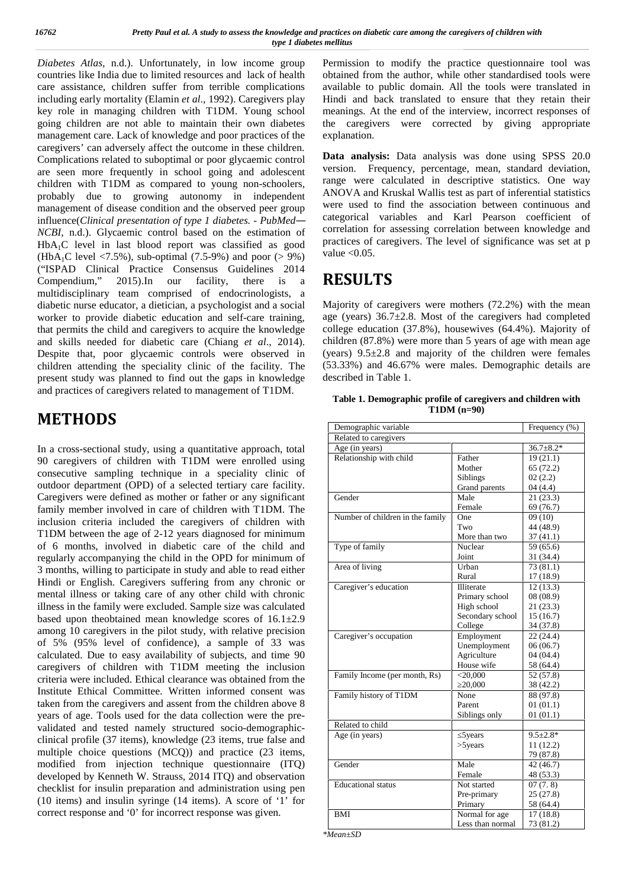*Diabetes Atlas*, n.d.). Unfortunately, in low income group countries like India due to limited resources and lack of health care assistance, children suffer from terrible complications including early mortality (Elamin *et al*., 1992). Caregivers play key role in managing children with T1DM. Young school going children are not able to maintain their own diabetes management care. Lack of knowledge and poor practices of the caregivers' can adversely affect the outcome in these children. Complications related to suboptimal or poor glycaemic control are seen more frequently in school going and adolescent children with T1DM as compared to young non-schoolers, probably due to growing autonomy in independent management of disease condition and the observed peer group influence(*Clinical presentation of type 1 diabetes. - PubMed— NCBI*, n.d.). Glycaemic control based on the estimation of HbA1C level in last blood report was classified as good (HbA<sub>1</sub>C level  $\langle 7.5\%$ ), sub-optimal (7.5-9%) and poor ( $> 9\%$ ) ("ISPAD Clinical Practice Consensus Guidelines 2014 Compendium," 2015).In our facility, there is a multidisciplinary team comprised of endocrinologists, a diabetic nurse educator, a dietician, a psychologist and a social worker to provide diabetic education and self-care training, that permits the child and caregivers to acquire the knowledge and skills needed for diabetic care (Chiang *et al*., 2014). Despite that, poor glycaemic controls were observed in children attending the speciality clinic of the facility. The present study was planned to find out the gaps in knowledge and practices of caregivers related to management of T1DM.

# **METHODS**

In a cross-sectional study, using a quantitative approach, total 90 caregivers of children with T1DM were enrolled using consecutive sampling technique in a speciality clinic of outdoor department (OPD) of a selected tertiary care facility. Caregivers were defined as mother or father or any significant family member involved in care of children with T1DM. The inclusion criteria included the caregivers of children with T1DM between the age of 2-12 years diagnosed for minimum of 6 months, involved in diabetic care of the child and regularly accompanying the child in the OPD for minimum of 3 months, willing to participate in study and able to read either Hindi or English. Caregivers suffering from any chronic or mental illness or taking care of any other child with chronic illness in the family were excluded. Sample size was calculated based upon theobtained mean knowledge scores of  $16.1\pm 2.9$ among 10 caregivers in the pilot study, with relative precision of 5% (95% level of confidence), a sample of 33 was calculated. Due to easy availability of subjects, and time 90 caregivers of children with T1DM meeting the inclusion criteria were included. Ethical clearance was obtained from the Institute Ethical Committee. Written informed consent was taken from the caregivers and assent from the children above 8 years of age. Tools used for the data collection were the pre validated and tested namely structured socio-demographic clinical profile (37 items), knowledge (23 items, true false and multiple choice questions (MCQ)) and practice (23 items, modified from injection technique questionnaire (ITQ) developed by Kenneth W. Strauss, 2014 ITQ) and observation checklist for insulin preparation and administration using pen (10 items) and insulin syringe (14 items). A score of '1' for correct response and '0' for incorrect response was given.

Permission to modify the practice questionnaire tool was obtained from the author, while other standardised tools were available to public domain. All the tools were translated in Hindi and back translated to ensure that they retain their meanings. At the end of the interview, incorrect responses of the caregivers were corrected by giving appropriate explanation.

**Data analysis:** Data analysis was done using SPSS 20.0 version. Frequency, percentage, mean, standard deviation, range were calculated in descriptive statistics. One way ANOVA and Kruskal Wallis test as part of inferential statistics were used to find the association between continuous and categorical variables and Karl Pearson coefficient of correlation for assessing correlation between knowledge and practices of caregivers. The level of significance was set at p value  $< 0.05$ .

# **RESULTS**

Majority of caregivers were mothers (72.2%) with the mean age (years) 36.7±2.8. Most of the caregivers had completed college education (37.8%), housewives (64.4%). Majority of children (87.8%) were more than 5 years of age with mean age (years)  $9.5\pm2.8$  and majority of the children were females (53.33%) and 46.67% were males. Demographic details are described in Table 1.

| Table 1. Demographic profile of caregivers and children with |  |
|--------------------------------------------------------------|--|
| $T1DM$ (n=90)                                                |  |

| Demographic variable             |                   | Frequency (%)   |
|----------------------------------|-------------------|-----------------|
| Related to caregivers            |                   |                 |
| Age (in years)                   |                   | $36.7 \pm 8.2*$ |
| Relationship with child          | Father            | 19(21.1)        |
|                                  | Mother            | 65(72.2)        |
|                                  | Siblings          | 02(2.2)         |
|                                  | Grand parents     | 04(4.4)         |
| Gender                           | Male              | 21(23.3)        |
|                                  | Female            | 69 (76.7)       |
| Number of children in the family | One               | 09(10)          |
|                                  | Two               | 44 (48.9)       |
|                                  | More than two     | 37(41.1)        |
| Type of family                   | Nuclear           | 59 (65.6)       |
|                                  | Joint             | 31 (34.4)       |
| Area of living                   | Urban             | 73(81.1)        |
|                                  | Rural             | 17 (18.9)       |
| Caregiver's education            | <b>Illiterate</b> | 12(13.3)        |
|                                  | Primary school    | 08(08.9)        |
|                                  | High school       | 21(23.3)        |
|                                  | Secondary school  | 15(16.7)        |
|                                  | College           | 34 (37.8)       |
| Caregiver's occupation           | Employment        | 22(24.4)        |
|                                  | Unemployment      | 06(06.7)        |
|                                  | Agriculture       | 04(04.4)        |
|                                  | House wife        | 58 (64.4)       |
| Family Income (per month, Rs)    | $<$ 20,000        | 52 (57.8)       |
|                                  | 20,000            | 38 (42.2)       |
| Family history of T1DM           | None              | 88 (97.8)       |
|                                  | Parent            | 01(01.1)        |
|                                  | Siblings only     | 01(01.1)        |
| Related to child                 |                   |                 |
| Age (in years)                   | 5years            | $9.5 \pm 2.8*$  |
|                                  | $>5$ years        | 11(12.2)        |
|                                  |                   | 79 (87.8)       |
| Gender                           | Male              | 42 (46.7)       |
|                                  | Female            | 48 (53.3)       |
| <b>Educational</b> status        | Not started       | 07(7.8)         |
|                                  | Pre-primary       | 25(27.8)        |
|                                  | Primary           | 58 (64.4)       |
| <b>BMI</b>                       | Normal for age    | 17(18.8)        |
|                                  | Less than normal  | 73 (81.2)       |
|                                  |                   |                 |

*\*Mean±SD*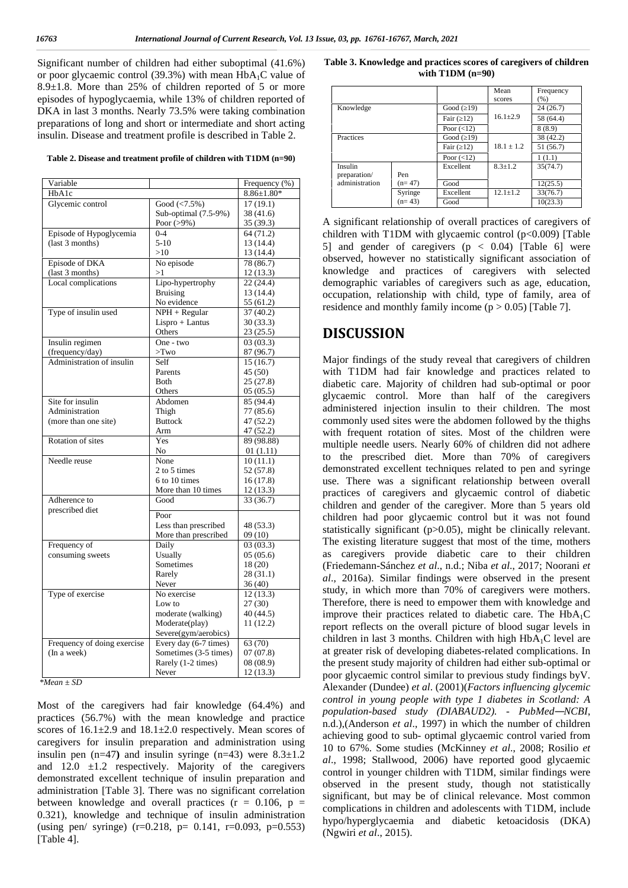Significant number of children had either suboptimal (41.6%) or poor glycaemic control (39.3%) with mean  $HbA_1C$  value of 8.9±1.8. More than 25% of children reported of 5 or more episodes of hypoglycaemia, while 13% of children reported of DKA in last 3 months. Nearly 73.5% were taking combination preparations of long and short or intermediate and short acting insulin. Disease and treatment profile is described in Table 2.

**Table 2. Disease and treatment profile of children with T1DM (n=90)**

| Variable                                     |                       | Frequency (%)    |
|----------------------------------------------|-----------------------|------------------|
| HbA1c                                        |                       | $8.86 \pm 1.80*$ |
| Glycemic control                             | Good $(<7.5\%)$       | 17(19.1)         |
|                                              | Sub-optimal (7.5-9%)  | 38 (41.6)        |
|                                              | Poor $(>9\%)$         | 35 (39.3)        |
| Episode of Hypoglycemia                      | $0 - 4$               | 64 (71.2)        |
| $($ last 3 months)                           | $5-10$                | 13 (14.4)        |
|                                              | >10                   | 13 (14.4)        |
| Episode of DKA                               | No episode            | 78 (86.7)        |
| (last 3 months)                              | >1                    | 12(13.3)         |
| Local complications                          | Lipo-hypertrophy      | 22(24.4)         |
|                                              | <b>Bruising</b>       | 13 (14.4)        |
|                                              | No evidence           | 55 (61.2)        |
| Type of insulin used                         | $NPH + Regular$       | 37(40.2)         |
|                                              | $Lispro + Lantus$     | 30(33.3)         |
|                                              | <b>Others</b>         | 23(25.5)         |
| Insulin regimen                              | One - two             | 03(03.3)         |
|                                              |                       |                  |
| (frequency/day)<br>Administration of insulin | $>$ Two               | 87 (96.7)        |
|                                              | Self                  | 15(16.7)         |
|                                              | Parents               | 45 (50)          |
|                                              | <b>Both</b>           | 25(27.8)         |
|                                              | Others                | 05(05.5)         |
| Site for insulin                             | Abdomen               | 85 (94.4)        |
| Administration                               | Thigh                 | 77 (85.6)        |
| (more than one site)                         | <b>Buttock</b>        | 47 (52.2)        |
|                                              | Arm                   | 47 (52.2)        |
| Rotation of sites                            | Yes                   | 89 (98.88)       |
|                                              | No.                   | 01(1.11)         |
| Needle reuse                                 | None                  | 10(11.1)         |
|                                              | 2 to 5 times          | 52 (57.8)        |
|                                              | 6 to 10 times         | 16(17.8)         |
|                                              | More than 10 times    | 12(13.3)         |
| Adherence to                                 | Good                  | 33 (36.7)        |
| prescribed diet                              |                       |                  |
|                                              | Poor                  |                  |
|                                              | Less than prescribed  | 48 (53.3)        |
|                                              | More than prescribed  | 09(10)           |
| Frequency of                                 | Daily                 | 03(03.3)         |
| consuming sweets                             | Usually               | 05(05.6)         |
|                                              | Sometimes             | 18 (20)          |
|                                              | Rarely                | 28 (31.1)        |
|                                              | Never                 | 36 (40)          |
| Type of exercise                             | No exercise           | 12(13.3)         |
|                                              | Low to                | 27(30)           |
|                                              | moderate (walking)    | 40 (44.5)        |
|                                              | Moderate(play)        | 11(12.2)         |
|                                              | Severe(gym/aerobics)  |                  |
| Frequency of doing exercise                  | Every day (6-7 times) | 63 (70)          |
| (In a week)                                  | Sometimes (3-5 times) | 07(07.8)         |
|                                              | Rarely (1-2 times)    | 08 (08.9)        |
|                                              | Never                 | 12(13.3)         |

*<sup>\*</sup>Mean ±SD*

Most of the caregivers had fair knowledge (64.4%) and practices (56.7%) with the mean knowledge and practice scores of  $16.1 \pm 2.9$  and  $18.1 \pm 2.0$  respectively. Mean scores of caregivers for insulin preparation and administration using insulin pen  $(n=47)$  and insulin syringe  $(n=43)$  were  $8.3\pm1.2$ and  $12.0 \pm 1.2$  respectively. Majority of the caregivers demonstrated excellent technique of insulin preparation and administration [Table 3]. There was no significant correlation between knowledge and overall practices ( $r = 0.106$ ,  $p =$ 0.321), knowledge and technique of insulin administration (using pen/ syringe)  $(r=0.218, p= 0.141, r=0.093, p=0.553)$ [Table 4].

**Table 3. Knowledge and practices scores of caregivers of children with T1DM (n=90)**

|                |          |                  | Mean<br>scores | Frequency<br>(% ) |
|----------------|----------|------------------|----------------|-------------------|
| Knowledge      |          | Good (19)        |                | 24(26.7)          |
|                |          | Fair (12)        | $16.1 \pm 2.9$ | 58 (64.4)         |
|                |          | Poor $(<12)$     |                | 8(8.9)            |
| Practices      |          | Good (19)        |                | 38 (42.2)         |
|                |          | Fair (12)        | $18.1 \pm 1.2$ | 51 (56.7)         |
|                |          | Poor $(\leq 12)$ |                | 1(1.1)            |
| Insulin        |          | Excellent        | $8.3 + 1.2$    | 35(74.7)          |
| preparation/   | Pen      |                  |                |                   |
| administration | $(n=47)$ | Good             |                | 12(25.5)          |
|                | Syringe  | Excellent        | $12.1 + 1.2$   | 33(76.7)          |
|                | $(n=43)$ | Good             |                | 10(23.3)          |

A significant relationship of overall practices of caregivers of children with T1DM with glycaemic control (p<0.009) [Table 5] and gender of caregivers  $(p < 0.04)$  [Table 6] were observed, however no statistically significant association of knowledge and practices of caregivers with selected demographic variables of caregivers such as age, education, occupation, relationship with child, type of family, area of residence and monthly family income  $(p > 0.05)$  [Table 7].

# **DISCUSSION**

Major findings of the study reveal that caregivers of children with T1DM had fair knowledge and practices related to diabetic care. Majority of children had sub-optimal or poor glycaemic control. More than half of the caregivers administered injection insulin to their children. The most commonly used sites were the abdomen followed by the thighs with frequent rotation of sites. Most of the children were multiple needle users. Nearly 60% of children did not adhere to the prescribed diet. More than 70% of caregivers demonstrated excellent techniques related to pen and syringe use. There was a significant relationship between overall practices of caregivers and glycaemic control of diabetic children and gender of the caregiver. More than 5 years old children had poor glycaemic control but it was not found statistically significant (p>0.05), might be clinically relevant. The existing literature suggest that most of the time, mothers as caregivers provide diabetic care to their children (Friedemann-Sánchez *et al*., n.d.; Niba *et al*., 2017; Noorani *et al*., 2016a). Similar findings were observed in the present study, in which more than 70% of caregivers were mothers. Therefore, there is need to empower them with knowledge and improve their practices related to diabetic care. The  $HbA_1C$ report reflects on the overall picture of blood sugar levels in children in last 3 months. Children with high  $HbA_1C$  level are at greater risk of developing diabetes-related complications. In the present study majority of children had either sub-optimal or poor glycaemic control similar to previous study findings byV. Alexander (Dundee) *et al*. (2001)(*Factors influencing glycemic control in young people with type 1 diabetes in Scotland: A population-based study (DIABAUD2). - PubMed—NCBI*, n.d.),(Anderson *et al*., 1997) in which the number of children achieving good to sub- optimal glycaemic control varied from 10 to 67%. Some studies (McKinney *et al*., 2008; Rosilio *et al*., 1998; Stallwood, 2006) have reported good glycaemic control in younger children with T1DM, similar findings were observed in the present study, though not statistically significant, but may be of clinical relevance. Most common complications in children and adolescents with T1DM, include hypo/hyperglycaemia and diabetic ketoacidosis (DKA) (Ngwiri *et al*., 2015).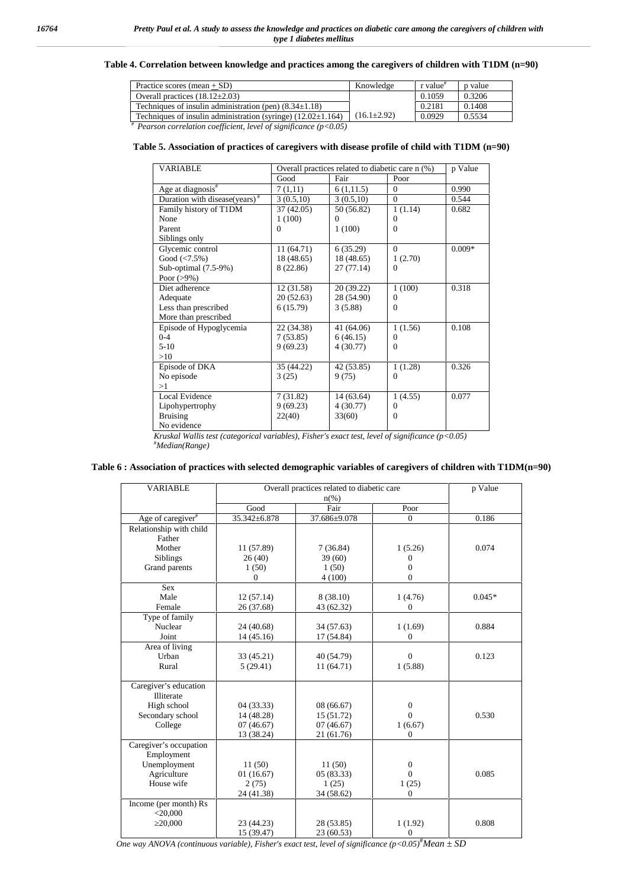## **Table 4. Correlation between knowledge and practices among the caregivers of children with T1DM (n=90)**

| Practice scores (mean $+$ SD)                                      | Knowledge         | r value <sup>#</sup> | p value |
|--------------------------------------------------------------------|-------------------|----------------------|---------|
| Overall practices $(18.12 \pm 2.03)$                               |                   | 0.1059               | 0.3206  |
| Techniques of insulin administration (pen) $(8.34 \pm 1.18)$       |                   | 0.2181               | 0.1408  |
| Techniques of insulin administration (syringe) $(12.02 \pm 1.164)$ | $(16.1 \pm 2.92)$ | 0.0929               | 0.5534  |
| $#$ Pearson correlation coefficient level of significance (p<0.05) |                   |                      |         |

*# Pearson correlation coefficient, level of significance (p<0.05)*

## **Table 5. Association of practices of caregivers with disease profile of child with T1DM (n=90)**

| <b>VARIABLE</b>                           | Overall practices related to diabetic care n (%) | p Value    |              |          |
|-------------------------------------------|--------------------------------------------------|------------|--------------|----------|
|                                           | Good                                             | Fair       | Poor         |          |
| Age at diagnosis#                         | 7(1,11)                                          | 6(1,11.5)  | $\Omega$     | 0.990    |
| Duration with disease(years) <sup>#</sup> | 3(0.5,10)                                        | 3(0.5,10)  | $\Omega$     | 0.544    |
| Family history of T1DM                    | 37 (42.05)                                       | 50 (56.82) | 1(1.14)      | 0.682    |
| None                                      | 1(100)                                           | $\Omega$   | $\Omega$     |          |
| Parent                                    | $\theta$                                         | 1(100)     | $\Omega$     |          |
| Siblings only                             |                                                  |            |              |          |
| Glycemic control                          | 11(64.71)                                        | 6(35.29)   | $\Omega$     | $0.009*$ |
| Good $(<7.5\%)$                           | 18 (48.65)                                       | 18 (48.65) | 1(2.70)      |          |
| Sub-optimal (7.5-9%)                      | 8 (22.86)                                        | 27(77.14)  | $\mathbf{0}$ |          |
| Poor $(>9\%)$                             |                                                  |            |              |          |
| Diet adherence                            | 12(31.58)                                        | 20 (39.22) | 1(100)       | 0.318    |
| Adequate                                  | 20(52.63)                                        | 28 (54.90) | $\Omega$     |          |
| Less than prescribed                      | 6(15.79)                                         | 3(5.88)    | $\Omega$     |          |
| More than prescribed                      |                                                  |            |              |          |
| Episode of Hypoglycemia                   | 22 (34.38)                                       | 41 (64.06) | 1(1.56)      | 0.108    |
| $0 - 4$                                   | 7(53.85)                                         | 6(46.15)   | $\Omega$     |          |
| $5-10$                                    | 9(69.23)                                         | 4(30.77)   | $\Omega$     |          |
| >10                                       |                                                  |            |              |          |
| Episode of DKA                            | 35 (44.22)                                       | 42 (53.85) | 1(1.28)      | 0.326    |
| No episode                                | 3(25)                                            | 9(75)      | $\Omega$     |          |
| >1                                        |                                                  |            |              |          |
| Local Evidence                            | 7(31.82)                                         | 14(63.64)  | 1(4.55)      | 0.077    |
| Lipohypertrophy                           | 9(69.23)                                         | 4 (30.77)  | $\Omega$     |          |
| <b>Bruising</b>                           | 22(40)                                           | 33(60)     | $\Omega$     |          |
| No evidence                               |                                                  |            |              |          |

*Kruskal Wallis test (categorical variables), Fisher's exact test, level of significance (p<0.05)* #*Median(Range)*

## **Table 6 : Association of practices with selected demographic variables of caregivers of children with T1DM(n=90)**

| <b>VARIABLE</b>               | Overall practices related to diabetic care | p Value         |                  |          |
|-------------------------------|--------------------------------------------|-----------------|------------------|----------|
|                               | Good                                       | $n(\%)$<br>Fair | Poor             |          |
| Age of caregiver <sup>#</sup> | 35.342±6.878                               | 37.686±9.078    | $\Omega$         | 0.186    |
| Relationship with child       |                                            |                 |                  |          |
| Father                        |                                            |                 |                  |          |
| Mother                        | 11 (57.89)                                 | 7(36.84)        | 1(5.26)          | 0.074    |
| <b>Siblings</b>               | 26 (40)                                    | 39(60)          | $\theta$         |          |
| Grand parents                 | 1(50)                                      | 1(50)           | $\overline{0}$   |          |
|                               | 0                                          | 4(100)          | $\theta$         |          |
| <b>Sex</b>                    |                                            |                 |                  |          |
| Male                          | 12(57.14)                                  | 8 (38.10)       | 1(4.76)          | $0.045*$ |
| Female                        | 26 (37.68)                                 | 43 (62.32)      | $\theta$         |          |
| Type of family                |                                            |                 |                  |          |
| Nuclear                       | 24 (40.68)                                 | 34 (57.63)      | 1(1.69)          | 0.884    |
| Joint                         | 14(45.16)                                  | 17 (54.84)      | $\Omega$         |          |
| Area of living                |                                            |                 |                  |          |
| Urban                         | 33 (45.21)                                 | 40 (54.79)      | $\theta$         | 0.123    |
| Rural                         | 5(29.41)                                   | 11(64.71)       | 1(5.88)          |          |
|                               |                                            |                 |                  |          |
| Caregiver's education         |                                            |                 |                  |          |
| <b>Illiterate</b>             |                                            |                 |                  |          |
| High school                   | 04 (33.33)                                 | 08(66.67)       | $\overline{0}$   |          |
| Secondary school              | 14 (48.28)                                 | 15 (51.72)      | $\Omega$         | 0.530    |
| College                       | 07(46.67)                                  | 07(46.67)       | 1(6.67)          |          |
|                               | 13 (38.24)                                 | 21 (61.76)      | $\theta$         |          |
| Caregiver's occupation        |                                            |                 |                  |          |
| Employment                    |                                            |                 |                  |          |
| Unemployment                  | 11(50)                                     | 11(50)          | $\boldsymbol{0}$ |          |
| Agriculture                   | 01(16.67)                                  | 05(83.33)       | $\Omega$         | 0.085    |
| House wife                    | 2(75)                                      | 1(25)           | 1(25)            |          |
|                               | 24 (41.38)                                 | 34 (58.62)      | $\boldsymbol{0}$ |          |
| Income (per month) Rs         |                                            |                 |                  |          |
| $<$ 20,000                    |                                            |                 |                  |          |
| 20,000                        | 23 (44.23)                                 | 28 (53.85)      | 1(1.92)          | 0.808    |
|                               | 15 (39.47)                                 | 23 (60.53)      | $\overline{0}$   |          |

*One way ANOVA (continuous variable), Fisher's exact test, level of significance*  $(p<0.05)^{\#}$ *Mean*  $\pm$  SD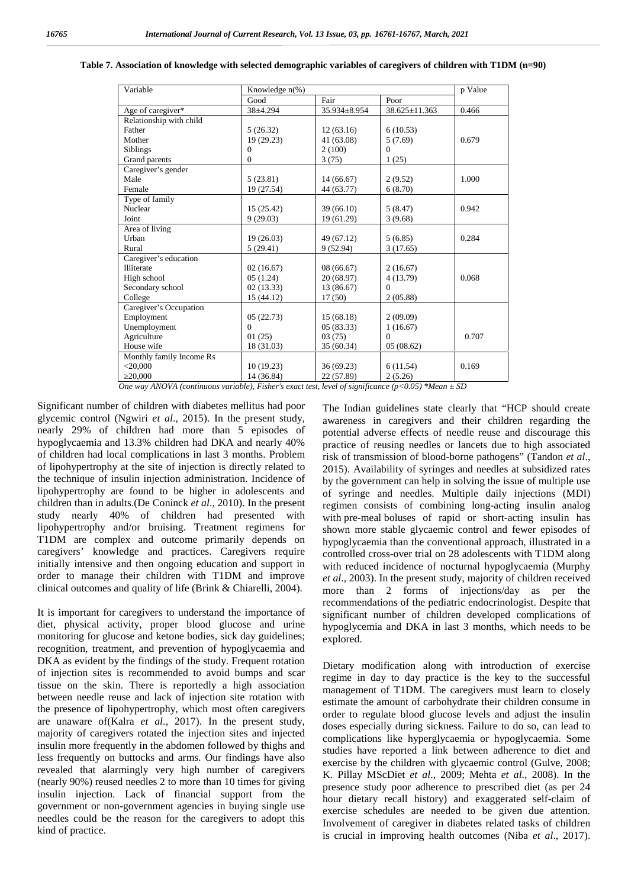| Variable                                                                                                | Knowledge $n\%$ ) |              |               | p Value |  |  |
|---------------------------------------------------------------------------------------------------------|-------------------|--------------|---------------|---------|--|--|
|                                                                                                         | Good              | Fair         | Poor          |         |  |  |
| Age of caregiver*                                                                                       | $38 + 4.294$      | 35.934±8.954 | 38.625±11.363 | 0.466   |  |  |
| Relationship with child                                                                                 |                   |              |               |         |  |  |
| Father                                                                                                  | 5(26.32)          | 12(63.16)    | 6(10.53)      |         |  |  |
| Mother                                                                                                  | 19 (29.23)        | 41 (63.08)   | 5(7.69)       | 0.679   |  |  |
| <b>Siblings</b>                                                                                         | 0                 | 2(100)       | $\Omega$      |         |  |  |
| Grand parents                                                                                           | $\theta$          | 3(75)        | 1(25)         |         |  |  |
| Caregiver's gender                                                                                      |                   |              |               |         |  |  |
| Male                                                                                                    | 5(23.81)          | 14(66.67)    | 2(9.52)       | 1.000   |  |  |
| Female                                                                                                  | 19 (27.54)        | 44 (63.77)   | 6(8.70)       |         |  |  |
| Type of family                                                                                          |                   |              |               |         |  |  |
| Nuclear                                                                                                 | 15 (25.42)        | 39 (66.10)   | 5(8.47)       | 0.942   |  |  |
| Joint                                                                                                   | 9(29.03)          | 19 (61.29)   | 3(9.68)       |         |  |  |
| Area of living                                                                                          |                   |              |               |         |  |  |
| Urban                                                                                                   | 19(26.03)         | 49 (67.12)   | 5(6.85)       | 0.284   |  |  |
| Rural                                                                                                   | 5(29.41)          | 9(52.94)     | 3(17.65)      |         |  |  |
| Caregiver's education                                                                                   |                   |              |               |         |  |  |
| Illiterate                                                                                              | 02(16.67)         | 08(66.67)    | 2(16.67)      |         |  |  |
| High school                                                                                             | 05(1.24)          | 20 (68.97)   | 4 (13.79)     | 0.068   |  |  |
| Secondary school                                                                                        | 02(13.33)         | 13 (86.67)   | $\Omega$      |         |  |  |
| College                                                                                                 | 15 (44.12)        | 17(50)       | 2(05.88)      |         |  |  |
| Caregiver's Occupation                                                                                  |                   |              |               |         |  |  |
| Employment                                                                                              | 05(22.73)         | 15(68.18)    | 2(09.09)      |         |  |  |
| Unemployment                                                                                            | $\theta$          | 05 (83.33)   | 1(16.67)      |         |  |  |
| Agriculture                                                                                             | 01(25)            | 03(75)       | $\theta$      | 0.707   |  |  |
| House wife                                                                                              | 18 (31.03)        | 35 (60.34)   | 05(08.62)     |         |  |  |
| Monthly family Income Rs                                                                                |                   |              |               |         |  |  |
| $<$ 20,000                                                                                              | 10(19.23)         | 36(69.23)    | 6(11.54)      | 0.169   |  |  |
| 20,000                                                                                                  | 14 (36.84)        | 22 (57.89)   | 2(5.26)       |         |  |  |
| One way ANOVA (continuous variable), Fisher's exact test, level of significance (p<0.05) *Mean $\pm$ SD |                   |              |               |         |  |  |

#### **Table 7. Association of knowledge with selected demographic variables of caregivers of children with T1DM (n=90)**

Significant number of children with diabetes mellitus had poor glycemic control (Ngwiri *et al*., 2015). In the present study, nearly 29% of children had more than 5 episodes of hypoglycaemia and 13.3% children had DKA and nearly 40% of children had local complications in last 3 months. Problem of lipohypertrophy at the site of injection is directly related to the technique of insulin injection administration. Incidence of lipohypertrophy are found to be higher in adolescents and children than in adults.(De Coninck *et al*., 2010). In the present study nearly 40% of children had presented with lipohypertrophy and/or bruising. Treatment regimens for T1DM are complex and outcome primarily depends on caregivers' knowledge and practices. Caregivers require initially intensive and then ongoing education and support in order to manage their children with T1DM and improve clinical outcomes and quality of life (Brink & Chiarelli, 2004).

It is important for caregivers to understand the importance of diet, physical activity, proper blood glucose and urine monitoring for glucose and ketone bodies, sick day guidelines; recognition, treatment, and prevention of hypoglycaemia and DKA as evident by the findings of the study. Frequent rotation of injection sites is recommended to avoid bumps and scar tissue on the skin. There is reportedly a high association between needle reuse and lack of injection site rotation with the presence of lipohypertrophy, which most often caregivers are unaware of(Kalra *et al*., 2017). In the present study, majority of caregivers rotated the injection sites and injected insulin more frequently in the abdomen followed by thighs and less frequently on buttocks and arms. Our findings have also revealed that alarmingly very high number of caregivers (nearly 90%) reused needles 2 to more than 10 times for giving insulin injection. Lack of financial support from the government or non-government agencies in buying single use needles could be the reason for the caregivers to adopt this kind of practice.

The Indian guidelines state clearly that "HCP should create awareness in caregivers and their children regarding the potential adverse effects of needle reuse and discourage this practice of reusing needles or lancets due to high associated risk of transmission of blood-borne pathogens" (Tandon *et al*., 2015). Availability of syringes and needles at subsidized rates by the government can help in solving the issue of multiple use of syringe and needles. Multiple daily injections (MDI) regimen consists of combining long-acting insulin analog with pre-meal boluses of rapid or short-acting insulin has shown more stable glycaemic control and fewer episodes of hypoglycaemia than the conventional approach, illustrated in a controlled cross-over trial on 28 adolescents with T1DM along with reduced incidence of nocturnal hypoglycaemia (Murphy *et al*., 2003). In the present study, majority of children received more than 2 forms of injections/day as per the recommendations of the pediatric endocrinologist. Despite that significant number of children developed complications of hypoglycemia and DKA in last 3 months, which needs to be explored.

Dietary modification along with introduction of exercise regime in day to day practice is the key to the successful management of T1DM. The caregivers must learn to closely estimate the amount of carbohydrate their children consume in order to regulate blood glucose levels and adjust the insulin doses especially during sickness. Failure to do so, can lead to complications like hyperglycaemia or hypoglycaemia. Some studies have reported a link between adherence to diet and exercise by the children with glycaemic control (Gulve, 2008; K. Pillay MScDiet *et al*., 2009; Mehta *et al*., 2008). In the presence study poor adherence to prescribed diet (as per 24 hour dietary recall history) and exaggerated self-claim of exercise schedules are needed to be given due attention. Involvement of caregiver in diabetes related tasks of children is crucial in improving health outcomes (Niba *et al*., 2017).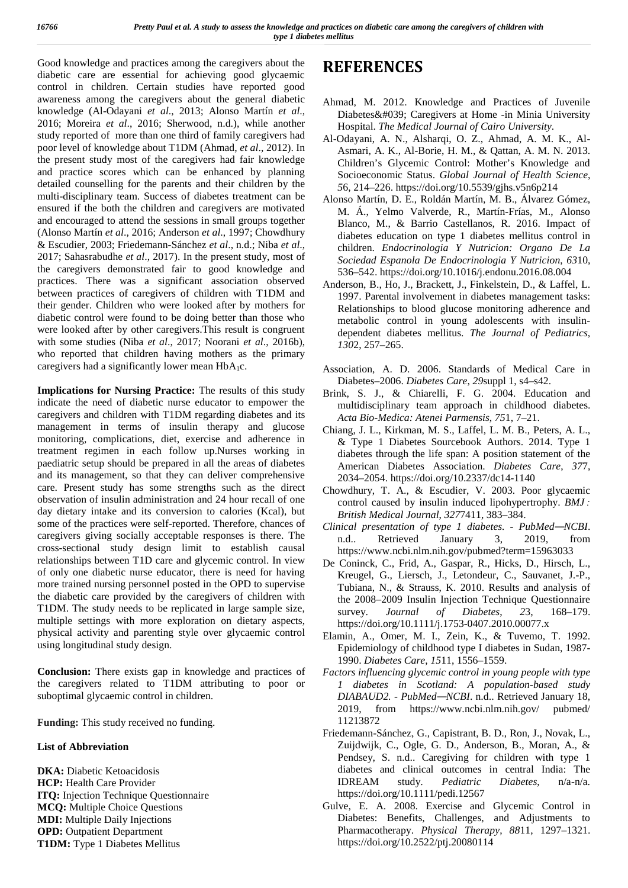Good knowledge and practices among the caregivers about the diabetic care are essential for achieving good glycaemic control in children. Certain studies have reported good awareness among the caregivers about the general diabetic knowledge (Al-Odayani *et al*., 2013; Alonso Martín *et al*., 2016; Moreira *et al*., 2016; Sherwood, n.d.), while another study reported of more than one third of family caregivers had poor level of knowledge about T1DM (Ahmad, *et al*., 2012). In the present study most of the caregivers had fair knowledge and practice scores which can be enhanced by planning detailed counselling for the parents and their children by the multi-disciplinary team. Success of diabetes treatment can be ensured if the both the children and caregivers are motivated and encouraged to attend the sessions in small groups together (Alonso Martín *et al*., 2016; Anderson *et al*., 1997; Chowdhury & Escudier, 2003; Friedemann-Sánchez *et al*., n.d.; Niba *et al*., 2017; Sahasrabudhe *et al*., 2017). In the present study, most of the caregivers demonstrated fair to good knowledge and practices. There was a significant association observed between practices of caregivers of children with T1DM and their gender. Children who were looked after by mothers for diabetic control were found to be doing better than those who were looked after by other caregivers.This result is congruent with some studies (Niba *et al*., 2017; Noorani *et al*., 2016b), who reported that children having mothers as the primary caregivers had a significantly lower mean  $HbA_1c$ .

**Implications for Nursing Practice:** The results of this study indicate the need of diabetic nurse educator to empower the caregivers and children with T1DM regarding diabetes and its management in terms of insulin therapy and glucose monitoring, complications, diet, exercise and adherence in treatment regimen in each follow up.Nurses working in paediatric setup should be prepared in all the areas of diabetes and its management, so that they can deliver comprehensive care. Present study has some strengths such as the direct observation of insulin administration and 24 hour recall of one day dietary intake and its conversion to calories (Kcal), but some of the practices were self-reported. Therefore, chances of caregivers giving socially acceptable responses is there. The  $n.d.$ cross-sectional study design limit to establish causal relationships between T1D care and glycemic control. In view of only one diabetic nurse educator, there is need for having more trained nursing personnel posted in the OPD to supervise the diabetic care provided by the caregivers of children with T1DM. The study needs to be replicated in large sample size, multiple settings with more exploration on dietary aspects, physical activity and parenting style over glycaemic control using longitudinal study design.

**Conclusion:** There exists gap in knowledge and practices of the caregivers related to T1DM attributing to poor or suboptimal glycaemic control in children.

**Funding:** This study received no funding.

## **List of Abbreviation**

**DKA:** Diabetic Ketoacidosis **HCP:** Health Care Provider **ITQ:** Injection Technique Questionnaire **MCQ:** Multiple Choice Questions **MDI:** Multiple Daily Injections **OPD:** Outpatient Department **T1DM:** Type 1 Diabetes Mellitus

# **REFERENCES**

- Ahmad, M. 2012. Knowledge and Practices of Juvenile Diabetes' Caregivers at Home -in Minia University Hospital. *The Medical Journal of Cairo University*.
- Al-Odayani, A. N., Alsharqi, O. Z., Ahmad, A. M. K., Al- Asmari, A. K., Al-Borie, H. M., & Qattan, A. M. N. 2013. Children's Glycemic Control: Mother's Knowledge and Socioeconomic Status. *Global Journal of Health Science*, *5*6, 214–226. https://doi.org/10.5539/gjhs.v5n6p214
- Alonso Martín, D. E., Roldán Martín, M. B., Álvarez Gómez, M. Á., Yelmo Valverde, R., Martín-Frías, M., Alonso Blanco, M., & Barrio Castellanos, R. 2016. Impact of diabetes education on type 1 diabetes mellitus control in children. *Endocrinologia Y Nutricion: Organo De La Sociedad Espanola De Endocrinologia Y Nutricion*, *63*10, 536–542. https://doi.org/10.1016/j.endonu.2016.08.004
- Anderson, B., Ho, J., Brackett, J., Finkelstein, D., & Laffel, L. 1997. Parental involvement in diabetes management tasks: Relationships to blood glucose monitoring adherence and metabolic control in young adolescents with insulin dependent diabetes mellitus. *The Journal of Pediatrics*, *130*2, 257–265.
- Association, A. D. 2006. Standards of Medical Care in Diabetes–2006. *Diabetes Care*, *29*suppl 1, s4–s42.
- Brink, S. J., & Chiarelli, F. G. 2004. Education and multidisciplinary team approach in childhood diabetes. *Acta Bio-Medica: Atenei Parmensis*, *75*1, 7–21.
- Chiang, J. L., Kirkman, M. S., Laffel, L. M. B., Peters, A. L., & Type 1 Diabetes Sourcebook Authors. 2014. Type 1 diabetes through the life span: A position statement of the American Diabetes Association. *Diabetes Care*, *37*7, 2034–2054. https://doi.org/10.2337/dc14-1140
- Chowdhury, T. A., & Escudier, V. 2003. Poor glycaemic control caused by insulin induced lipohypertrophy. *BMJ : British Medical Journal*, *327*7411, 383–384.
- *Clinical presentation of type 1 diabetes. - PubMed—NCBI*. Retrieved January 3, 2019, from https://www.ncbi.nlm.nih.gov/pubmed?term=15963033
- De Coninck, C., Frid, A., Gaspar, R., Hicks, D., Hirsch, L., Kreugel, G., Liersch, J., Letondeur, C., Sauvanet, J.-P., Tubiana, N., & Strauss, K. 2010. Results and analysis of the 2008–2009 Insulin Injection Technique Questionnaire survey. *Journal of Diabetes*, *2*3, 168–179. https://doi.org/10.1111/j.1753-0407.2010.00077.x
- Elamin, A., Omer, M. I., Zein, K., & Tuvemo, T. 1992. Epidemiology of childhood type I diabetes in Sudan, 1987- 1990. *Diabetes Care*, *15*11, 1556–1559.
- *Factors influencing glycemic control in young people with type 1 diabetes in Scotland: A population-based study DIABAUD2. - PubMed—NCBI*. n.d.. Retrieved January 18, 2019, from https://www.ncbi.nlm.nih.gov/ pubmed/ 11213872
- Friedemann-Sánchez, G., Capistrant, B. D., Ron, J., Novak, L., Zuijdwijk, C., Ogle, G. D., Anderson, B., Moran, A., & Pendsey, S. n.d.. Caregiving for children with type 1 diabetes and clinical outcomes in central India: The IDREAM study. *Pediatric Diabetes*, n/a-n/a. https://doi.org/10.1111/pedi.12567
- Gulve, E. A. 2008. Exercise and Glycemic Control in Diabetes: Benefits, Challenges, and Adjustments to Pharmacotherapy. *Physical Therapy*, *88*11, 1297–1321. https://doi.org/10.2522/ptj.20080114